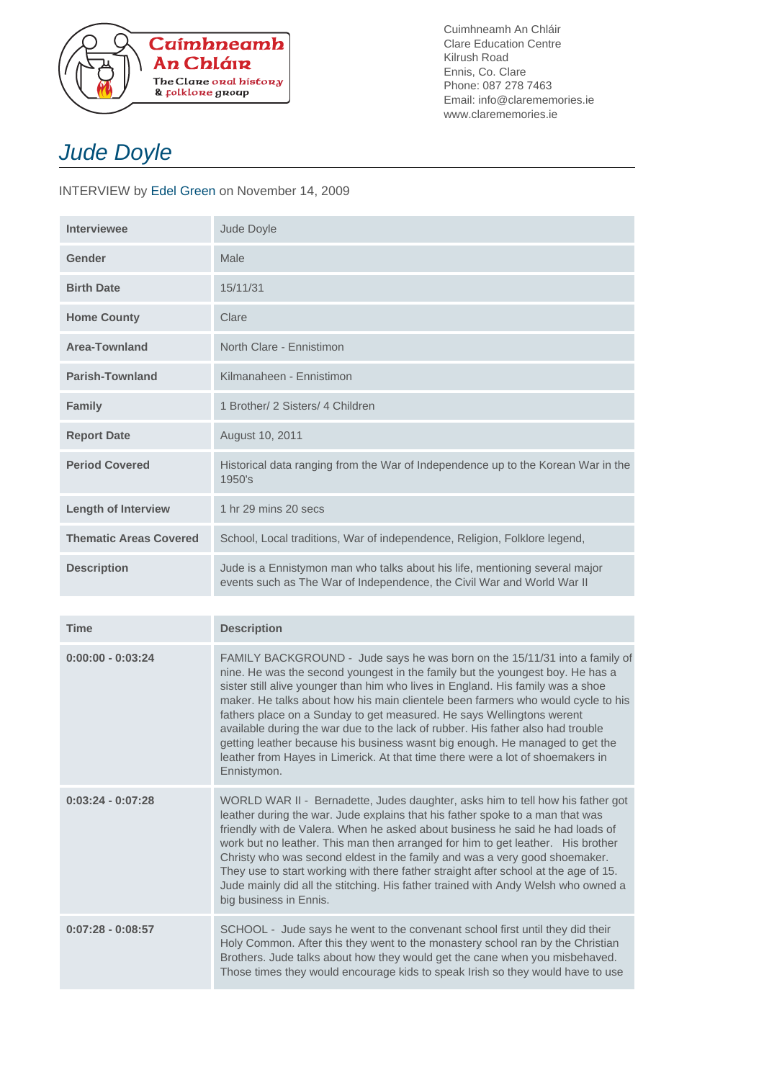

Cuimhneamh An Chláir Clare Education Centre Kilrush Road Ennis, Co. Clare Phone: 087 278 7463 Email: info@clarememories.ie www.clarememories.ie

## Jude Doyle

INTERVIEW by Edel Green on November 14, 2009

| <b>Interviewee</b>            | Jude Doyle                                                                                                                                                                                                                                                                                                                                                                                                                                                                                                                                                                                                                                                                      |
|-------------------------------|---------------------------------------------------------------------------------------------------------------------------------------------------------------------------------------------------------------------------------------------------------------------------------------------------------------------------------------------------------------------------------------------------------------------------------------------------------------------------------------------------------------------------------------------------------------------------------------------------------------------------------------------------------------------------------|
| Gender                        | Male                                                                                                                                                                                                                                                                                                                                                                                                                                                                                                                                                                                                                                                                            |
| <b>Birth Date</b>             | 15/11/31                                                                                                                                                                                                                                                                                                                                                                                                                                                                                                                                                                                                                                                                        |
| <b>Home County</b>            | Clare                                                                                                                                                                                                                                                                                                                                                                                                                                                                                                                                                                                                                                                                           |
| <b>Area-Townland</b>          | North Clare - Ennistimon                                                                                                                                                                                                                                                                                                                                                                                                                                                                                                                                                                                                                                                        |
| Parish-Townland               | Kilmanaheen - Ennistimon                                                                                                                                                                                                                                                                                                                                                                                                                                                                                                                                                                                                                                                        |
| Family                        | 1 Brother/ 2 Sisters/ 4 Children                                                                                                                                                                                                                                                                                                                                                                                                                                                                                                                                                                                                                                                |
| <b>Report Date</b>            | August 10, 2011                                                                                                                                                                                                                                                                                                                                                                                                                                                                                                                                                                                                                                                                 |
| <b>Period Covered</b>         | Historical data ranging from the War of Independence up to the Korean War in the<br>1950's                                                                                                                                                                                                                                                                                                                                                                                                                                                                                                                                                                                      |
| <b>Length of Interview</b>    | 1 hr 29 mins 20 secs                                                                                                                                                                                                                                                                                                                                                                                                                                                                                                                                                                                                                                                            |
| <b>Thematic Areas Covered</b> | School, Local traditions, War of independence, Religion, Folklore legend,                                                                                                                                                                                                                                                                                                                                                                                                                                                                                                                                                                                                       |
| <b>Description</b>            | Jude is a Ennistymon man who talks about his life, mentioning several major<br>events such as The War of Independence, the Civil War and World War II                                                                                                                                                                                                                                                                                                                                                                                                                                                                                                                           |
|                               |                                                                                                                                                                                                                                                                                                                                                                                                                                                                                                                                                                                                                                                                                 |
| <b>Time</b>                   | <b>Description</b>                                                                                                                                                                                                                                                                                                                                                                                                                                                                                                                                                                                                                                                              |
| $0:00:00 - 0:03:24$           | FAMILY BACKGROUND - Jude says he was born on the 15/11/31 into a family of<br>nine. He was the second youngest in the family but the youngest boy. He has a<br>sister still alive younger than him who lives in England. His family was a shoe<br>maker. He talks about how his main clientele been farmers who would cycle to his<br>fathers place on a Sunday to get measured. He says Wellingtons werent<br>available during the war due to the lack of rubber. His father also had trouble<br>getting leather because his business wasnt big enough. He managed to get the<br>leather from Hayes in Limerick. At that time there were a lot of shoemakers in<br>Ennistymon. |
| $0:03:24 - 0:07:28$           | WORLD WAR II - Bernadette, Judes daughter, asks him to tell how his father got<br>leather during the war. Jude explains that his father spoke to a man that was<br>friendly with de Valera. When he asked about business he said he had loads of<br>work but no leather. This man then arranged for him to get leather. His brother<br>Christy who was second eldest in the family and was a very good shoemaker.<br>They use to start working with there father straight after school at the age of 15.<br>Jude mainly did all the stitching. His father trained with Andy Welsh who owned a<br>big business in Ennis.                                                         |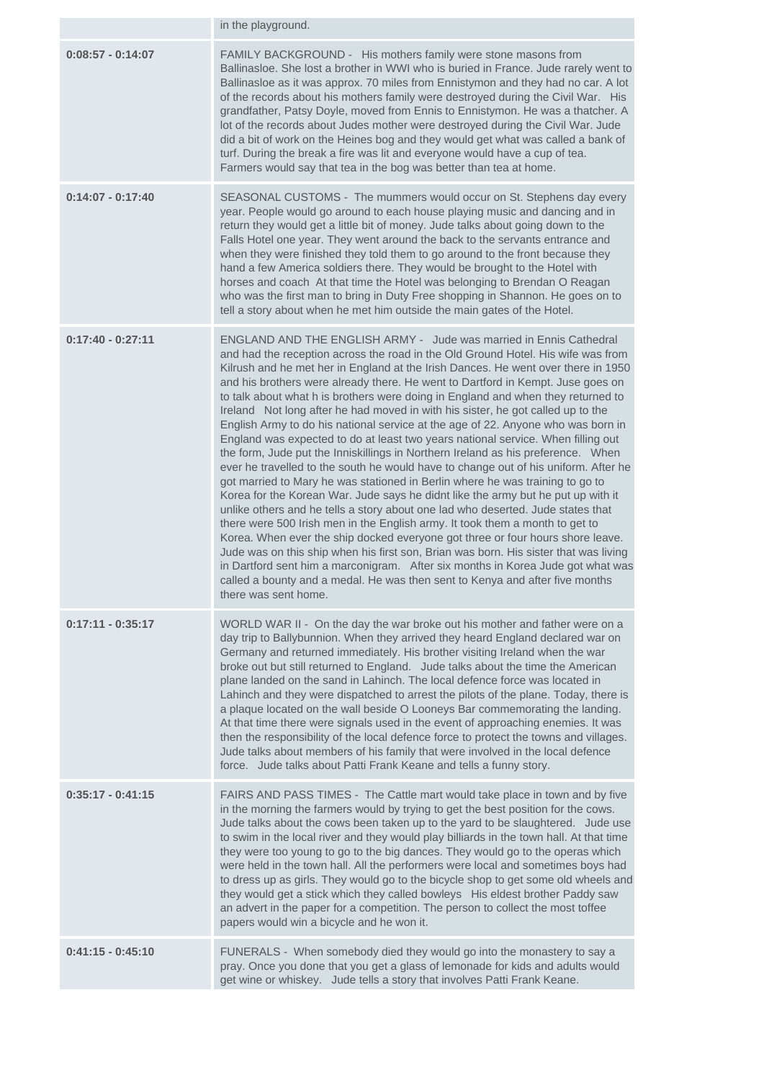|                     | in the playground.                                                                                                                                                                                                                                                                                                                                                                                                                                                                                                                                                                                                                                                                                                                                                                                                                                                                                                                                                                                                                                                                                                                                                                                                                                                                                                                                                                                                                                                                                                                                                    |
|---------------------|-----------------------------------------------------------------------------------------------------------------------------------------------------------------------------------------------------------------------------------------------------------------------------------------------------------------------------------------------------------------------------------------------------------------------------------------------------------------------------------------------------------------------------------------------------------------------------------------------------------------------------------------------------------------------------------------------------------------------------------------------------------------------------------------------------------------------------------------------------------------------------------------------------------------------------------------------------------------------------------------------------------------------------------------------------------------------------------------------------------------------------------------------------------------------------------------------------------------------------------------------------------------------------------------------------------------------------------------------------------------------------------------------------------------------------------------------------------------------------------------------------------------------------------------------------------------------|
| $0:08:57 - 0:14:07$ | FAMILY BACKGROUND - His mothers family were stone masons from<br>Ballinasloe. She lost a brother in WWI who is buried in France. Jude rarely went to<br>Ballinasloe as it was approx. 70 miles from Ennistymon and they had no car. A lot<br>of the records about his mothers family were destroyed during the Civil War. His<br>grandfather, Patsy Doyle, moved from Ennis to Ennistymon. He was a thatcher. A<br>lot of the records about Judes mother were destroyed during the Civil War. Jude<br>did a bit of work on the Heines bog and they would get what was called a bank of<br>turf. During the break a fire was lit and everyone would have a cup of tea.<br>Farmers would say that tea in the bog was better than tea at home.                                                                                                                                                                                                                                                                                                                                                                                                                                                                                                                                                                                                                                                                                                                                                                                                                           |
| $0:14:07 - 0:17:40$ | SEASONAL CUSTOMS - The mummers would occur on St. Stephens day every<br>year. People would go around to each house playing music and dancing and in<br>return they would get a little bit of money. Jude talks about going down to the<br>Falls Hotel one year. They went around the back to the servants entrance and<br>when they were finished they told them to go around to the front because they<br>hand a few America soldiers there. They would be brought to the Hotel with<br>horses and coach At that time the Hotel was belonging to Brendan O Reagan<br>who was the first man to bring in Duty Free shopping in Shannon. He goes on to<br>tell a story about when he met him outside the main gates of the Hotel.                                                                                                                                                                                                                                                                                                                                                                                                                                                                                                                                                                                                                                                                                                                                                                                                                                       |
| $0:17:40 - 0:27:11$ | ENGLAND AND THE ENGLISH ARMY - Jude was married in Ennis Cathedral<br>and had the reception across the road in the Old Ground Hotel. His wife was from<br>Kilrush and he met her in England at the Irish Dances. He went over there in 1950<br>and his brothers were already there. He went to Dartford in Kempt. Juse goes on<br>to talk about what h is brothers were doing in England and when they returned to<br>Ireland Not long after he had moved in with his sister, he got called up to the<br>English Army to do his national service at the age of 22. Anyone who was born in<br>England was expected to do at least two years national service. When filling out<br>the form, Jude put the Inniskillings in Northern Ireland as his preference. When<br>ever he travelled to the south he would have to change out of his uniform. After he<br>got married to Mary he was stationed in Berlin where he was training to go to<br>Korea for the Korean War. Jude says he didnt like the army but he put up with it<br>unlike others and he tells a story about one lad who deserted. Jude states that<br>there were 500 Irish men in the English army. It took them a month to get to<br>Korea. When ever the ship docked everyone got three or four hours shore leave.<br>Jude was on this ship when his first son, Brian was born. His sister that was living<br>in Dartford sent him a marconigram. After six months in Korea Jude got what was<br>called a bounty and a medal. He was then sent to Kenya and after five months<br>there was sent home. |
| $0:17:11 - 0:35:17$ | WORLD WAR II - On the day the war broke out his mother and father were on a<br>day trip to Ballybunnion. When they arrived they heard England declared war on<br>Germany and returned immediately. His brother visiting Ireland when the war<br>broke out but still returned to England. Jude talks about the time the American<br>plane landed on the sand in Lahinch. The local defence force was located in<br>Lahinch and they were dispatched to arrest the pilots of the plane. Today, there is<br>a plaque located on the wall beside O Looneys Bar commemorating the landing.<br>At that time there were signals used in the event of approaching enemies. It was<br>then the responsibility of the local defence force to protect the towns and villages.<br>Jude talks about members of his family that were involved in the local defence<br>force. Jude talks about Patti Frank Keane and tells a funny story.                                                                                                                                                                                                                                                                                                                                                                                                                                                                                                                                                                                                                                            |
| $0:35:17 - 0:41:15$ | FAIRS AND PASS TIMES - The Cattle mart would take place in town and by five<br>in the morning the farmers would by trying to get the best position for the cows.<br>Jude talks about the cows been taken up to the yard to be slaughtered. Jude use<br>to swim in the local river and they would play billiards in the town hall. At that time<br>they were too young to go to the big dances. They would go to the operas which<br>were held in the town hall. All the performers were local and sometimes boys had<br>to dress up as girls. They would go to the bicycle shop to get some old wheels and<br>they would get a stick which they called bowleys His eldest brother Paddy saw<br>an advert in the paper for a competition. The person to collect the most toffee<br>papers would win a bicycle and he won it.                                                                                                                                                                                                                                                                                                                                                                                                                                                                                                                                                                                                                                                                                                                                           |
| $0:41:15 - 0:45:10$ | FUNERALS - When somebody died they would go into the monastery to say a<br>pray. Once you done that you get a glass of lemonade for kids and adults would<br>get wine or whiskey. Jude tells a story that involves Patti Frank Keane.                                                                                                                                                                                                                                                                                                                                                                                                                                                                                                                                                                                                                                                                                                                                                                                                                                                                                                                                                                                                                                                                                                                                                                                                                                                                                                                                 |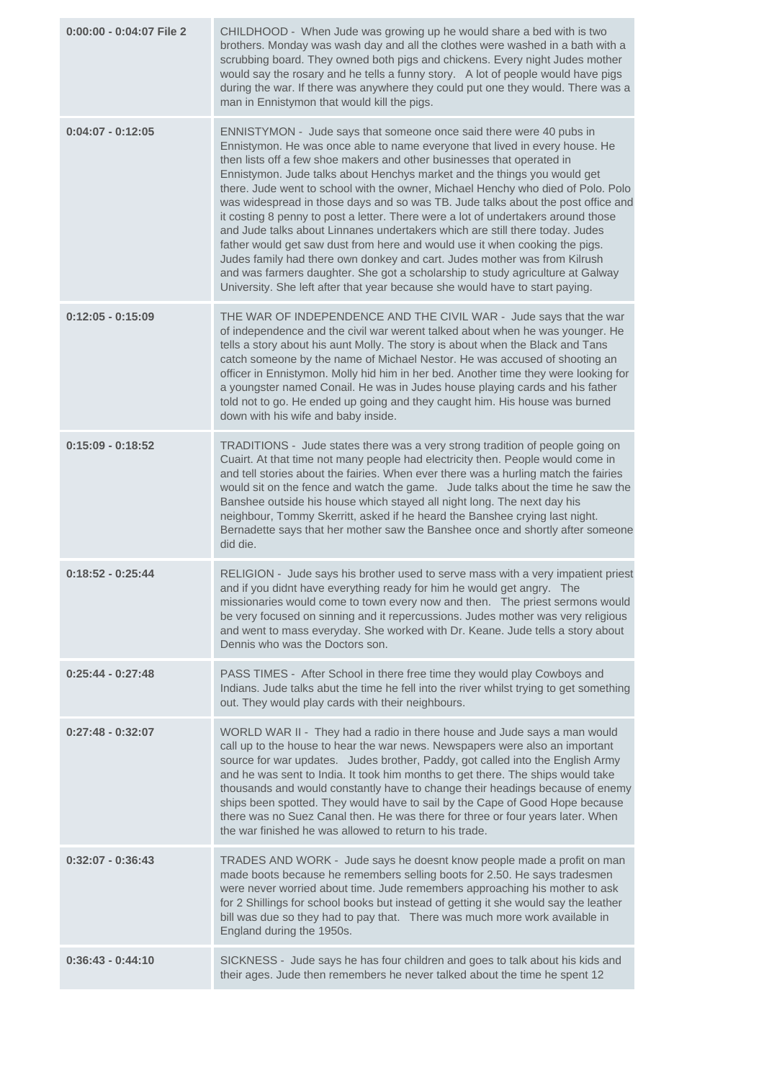| 0:00:00 - 0:04:07 File 2 | CHILDHOOD - When Jude was growing up he would share a bed with is two<br>brothers. Monday was wash day and all the clothes were washed in a bath with a<br>scrubbing board. They owned both pigs and chickens. Every night Judes mother<br>would say the rosary and he tells a funny story. A lot of people would have pigs<br>during the war. If there was anywhere they could put one they would. There was a<br>man in Ennistymon that would kill the pigs.                                                                                                                                                                                                                                                                                                                                                                                                                                                                                                                      |
|--------------------------|-------------------------------------------------------------------------------------------------------------------------------------------------------------------------------------------------------------------------------------------------------------------------------------------------------------------------------------------------------------------------------------------------------------------------------------------------------------------------------------------------------------------------------------------------------------------------------------------------------------------------------------------------------------------------------------------------------------------------------------------------------------------------------------------------------------------------------------------------------------------------------------------------------------------------------------------------------------------------------------|
| $0:04:07 - 0:12:05$      | ENNISTYMON - Jude says that someone once said there were 40 pubs in<br>Ennistymon. He was once able to name everyone that lived in every house. He<br>then lists off a few shoe makers and other businesses that operated in<br>Ennistymon. Jude talks about Henchys market and the things you would get<br>there. Jude went to school with the owner, Michael Henchy who died of Polo. Polo<br>was widespread in those days and so was TB. Jude talks about the post office and<br>it costing 8 penny to post a letter. There were a lot of undertakers around those<br>and Jude talks about Linnanes undertakers which are still there today. Judes<br>father would get saw dust from here and would use it when cooking the pigs.<br>Judes family had there own donkey and cart. Judes mother was from Kilrush<br>and was farmers daughter. She got a scholarship to study agriculture at Galway<br>University. She left after that year because she would have to start paying. |
| $0:12:05 - 0:15:09$      | THE WAR OF INDEPENDENCE AND THE CIVIL WAR - Jude says that the war<br>of independence and the civil war werent talked about when he was younger. He<br>tells a story about his aunt Molly. The story is about when the Black and Tans<br>catch someone by the name of Michael Nestor. He was accused of shooting an<br>officer in Ennistymon. Molly hid him in her bed. Another time they were looking for<br>a youngster named Conail. He was in Judes house playing cards and his father<br>told not to go. He ended up going and they caught him. His house was burned<br>down with his wife and baby inside.                                                                                                                                                                                                                                                                                                                                                                    |
| $0:15:09 - 0:18:52$      | TRADITIONS - Jude states there was a very strong tradition of people going on<br>Cuairt. At that time not many people had electricity then. People would come in<br>and tell stories about the fairies. When ever there was a hurling match the fairies<br>would sit on the fence and watch the game. Jude talks about the time he saw the<br>Banshee outside his house which stayed all night long. The next day his<br>neighbour, Tommy Skerritt, asked if he heard the Banshee crying last night.<br>Bernadette says that her mother saw the Banshee once and shortly after someone<br>did die.                                                                                                                                                                                                                                                                                                                                                                                  |
| $0:18:52 - 0:25:44$      | RELIGION - Jude says his brother used to serve mass with a very impatient priest<br>and if you didnt have everything ready for him he would get angry. The<br>missionaries would come to town every now and then.  The priest sermons would<br>be very focused on sinning and it repercussions. Judes mother was very religious<br>and went to mass everyday. She worked with Dr. Keane. Jude tells a story about<br>Dennis who was the Doctors son.                                                                                                                                                                                                                                                                                                                                                                                                                                                                                                                                |
| $0:25:44 - 0:27:48$      | PASS TIMES - After School in there free time they would play Cowboys and<br>Indians. Jude talks abut the time he fell into the river whilst trying to get something<br>out. They would play cards with their neighbours.                                                                                                                                                                                                                                                                                                                                                                                                                                                                                                                                                                                                                                                                                                                                                            |
| $0:27:48 - 0:32:07$      | WORLD WAR II - They had a radio in there house and Jude says a man would<br>call up to the house to hear the war news. Newspapers were also an important<br>source for war updates. Judes brother, Paddy, got called into the English Army<br>and he was sent to India. It took him months to get there. The ships would take<br>thousands and would constantly have to change their headings because of enemy<br>ships been spotted. They would have to sail by the Cape of Good Hope because<br>there was no Suez Canal then. He was there for three or four years later. When<br>the war finished he was allowed to return to his trade.                                                                                                                                                                                                                                                                                                                                         |
| $0:32:07 - 0:36:43$      | TRADES AND WORK - Jude says he doesnt know people made a profit on man<br>made boots because he remembers selling boots for 2.50. He says tradesmen<br>were never worried about time. Jude remembers approaching his mother to ask<br>for 2 Shillings for school books but instead of getting it she would say the leather<br>bill was due so they had to pay that.  There was much more work available in<br>England during the 1950s.                                                                                                                                                                                                                                                                                                                                                                                                                                                                                                                                             |
| $0:36:43 - 0:44:10$      | SICKNESS - Jude says he has four children and goes to talk about his kids and<br>their ages. Jude then remembers he never talked about the time he spent 12                                                                                                                                                                                                                                                                                                                                                                                                                                                                                                                                                                                                                                                                                                                                                                                                                         |